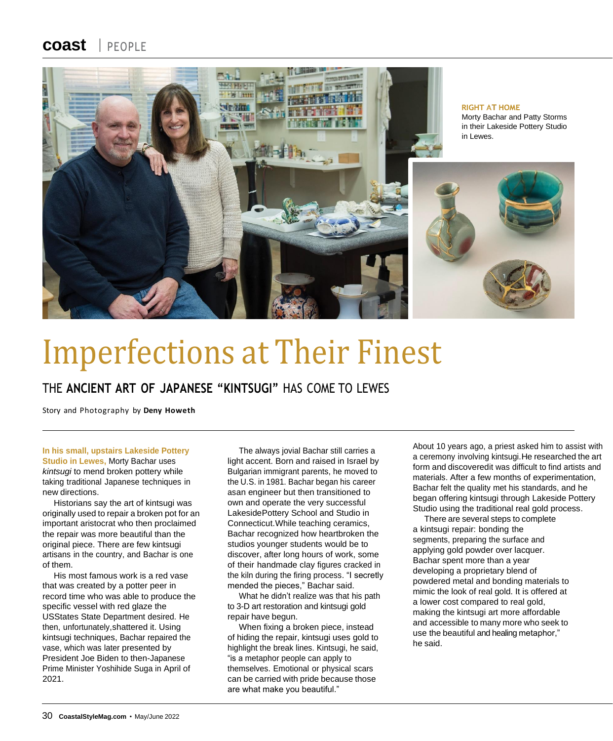### **coast** PEOPLE



# Imperfections at Their Finest

### THE **ANCIENT ART OF JAPANESE "KINTSUGI"** HAS COME TO LEWES

Story and Photography by **Deny Howeth**

#### **In his small, upstairs Lakeside Pottery**

**Studio in Lewes,** Morty Bachar uses *kintsugi* to mend broken pottery while taking traditional Japanese techniques in new directions.

Historians say the art of kintsugi was originally used to repair a broken pot for an important aristocrat who then proclaimed the repair was more beautiful than the original piece. There are few kintsugi artisans in the country, and Bachar is one of them.

His most famous work is a red vase that was created by a potter peer in record time who was able to produce the specific vessel with red glaze the USStates State Department desired. He then, unfortunately,shattered it. Using kintsugi techniques, Bachar repaired the vase, which was later presented by President Joe Biden to then-Japanese Prime Minister Yoshihide Suga in April of 2021.

The always jovial Bachar still carries a light accent. Born and raised in Israel by Bulgarian immigrant parents, he moved to the U.S. in 1981. Bachar began his career asan engineer but then transitioned to own and operate the very successful LakesidePottery School and Studio in Connecticut.While teaching ceramics, Bachar recognized how heartbroken the studios younger students would be to discover, after long hours of work, some of their handmade clay figures cracked in the kiln during the firing process. "I secretly mended the pieces," Bachar said.

What he didn't realize was that his path to 3-D art restoration and kintsugi gold repair have begun.

When fixing a broken piece, instead of hiding the repair, kintsugi uses gold to highlight the break lines. Kintsugi, he said, "is a metaphor people can apply to themselves. Emotional or physical scars can be carried with pride because those are what make you beautiful."

About 10 years ago, a priest asked him to assist with a ceremony involving kintsugi.He researched the art form and discoveredit was difficult to find artists and materials. After a few months of experimentation, Bachar felt the quality met his standards, and he began offering kintsugi through Lakeside Pottery Studio using the traditional real gold process.

There are several steps to complete a kintsugi repair: bonding the segments, preparing the surface and applying gold powder over lacquer. Bachar spent more than a year developing a proprietary blend of powdered metal and bonding materials to mimic the look of real gold. It is offered at a lower cost compared to real gold, making the kintsugi art more affordable and accessible to many more who seek to use the beautiful and healing metaphor," he said.